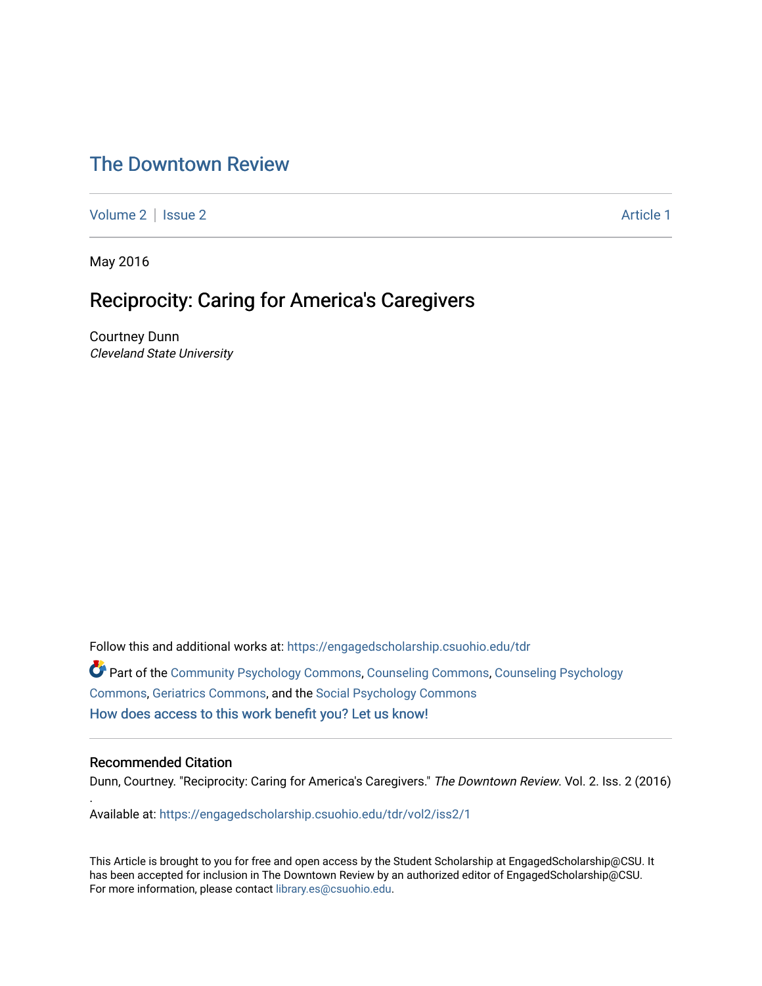# [The Downtown Review](https://engagedscholarship.csuohio.edu/tdr)

[Volume 2](https://engagedscholarship.csuohio.edu/tdr/vol2) | [Issue 2](https://engagedscholarship.csuohio.edu/tdr/vol2/iss2) Article 1

May 2016

## Reciprocity: Caring for America's Caregivers

Courtney Dunn Cleveland State University

Follow this and additional works at: [https://engagedscholarship.csuohio.edu/tdr](https://engagedscholarship.csuohio.edu/tdr?utm_source=engagedscholarship.csuohio.edu%2Ftdr%2Fvol2%2Fiss2%2F1&utm_medium=PDF&utm_campaign=PDFCoverPages)  Part of the [Community Psychology Commons,](http://network.bepress.com/hgg/discipline/409?utm_source=engagedscholarship.csuohio.edu%2Ftdr%2Fvol2%2Fiss2%2F1&utm_medium=PDF&utm_campaign=PDFCoverPages) [Counseling Commons](http://network.bepress.com/hgg/discipline/1268?utm_source=engagedscholarship.csuohio.edu%2Ftdr%2Fvol2%2Fiss2%2F1&utm_medium=PDF&utm_campaign=PDFCoverPages), [Counseling Psychology](http://network.bepress.com/hgg/discipline/1044?utm_source=engagedscholarship.csuohio.edu%2Ftdr%2Fvol2%2Fiss2%2F1&utm_medium=PDF&utm_campaign=PDFCoverPages)  [Commons](http://network.bepress.com/hgg/discipline/1044?utm_source=engagedscholarship.csuohio.edu%2Ftdr%2Fvol2%2Fiss2%2F1&utm_medium=PDF&utm_campaign=PDFCoverPages), [Geriatrics Commons,](http://network.bepress.com/hgg/discipline/688?utm_source=engagedscholarship.csuohio.edu%2Ftdr%2Fvol2%2Fiss2%2F1&utm_medium=PDF&utm_campaign=PDFCoverPages) and the [Social Psychology Commons](http://network.bepress.com/hgg/discipline/414?utm_source=engagedscholarship.csuohio.edu%2Ftdr%2Fvol2%2Fiss2%2F1&utm_medium=PDF&utm_campaign=PDFCoverPages) [How does access to this work benefit you? Let us know!](http://library.csuohio.edu/engaged/)

### Recommended Citation

.

Dunn, Courtney. "Reciprocity: Caring for America's Caregivers." The Downtown Review. Vol. 2. Iss. 2 (2016)

Available at: [https://engagedscholarship.csuohio.edu/tdr/vol2/iss2/1](https://engagedscholarship.csuohio.edu/tdr/vol2/iss2/1?utm_source=engagedscholarship.csuohio.edu%2Ftdr%2Fvol2%2Fiss2%2F1&utm_medium=PDF&utm_campaign=PDFCoverPages) 

This Article is brought to you for free and open access by the Student Scholarship at EngagedScholarship@CSU. It has been accepted for inclusion in The Downtown Review by an authorized editor of EngagedScholarship@CSU. For more information, please contact [library.es@csuohio.edu.](mailto:library.es@csuohio.edu)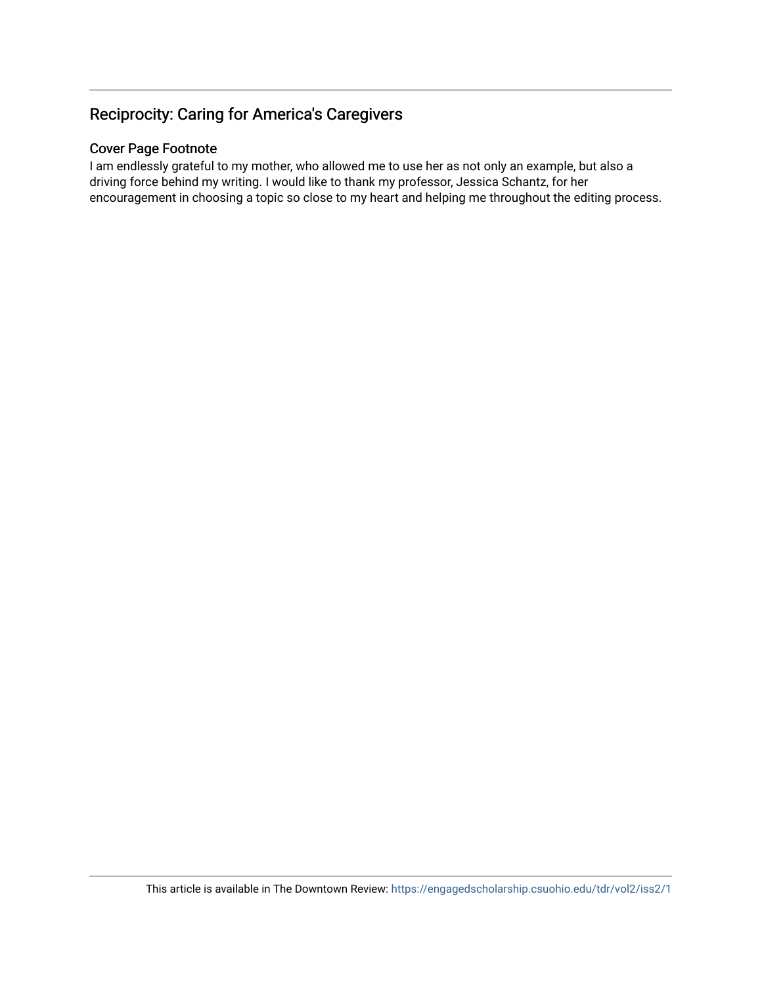## Reciprocity: Caring for America's Caregivers

## Cover Page Footnote

I am endlessly grateful to my mother, who allowed me to use her as not only an example, but also a driving force behind my writing. I would like to thank my professor, Jessica Schantz, for her encouragement in choosing a topic so close to my heart and helping me throughout the editing process.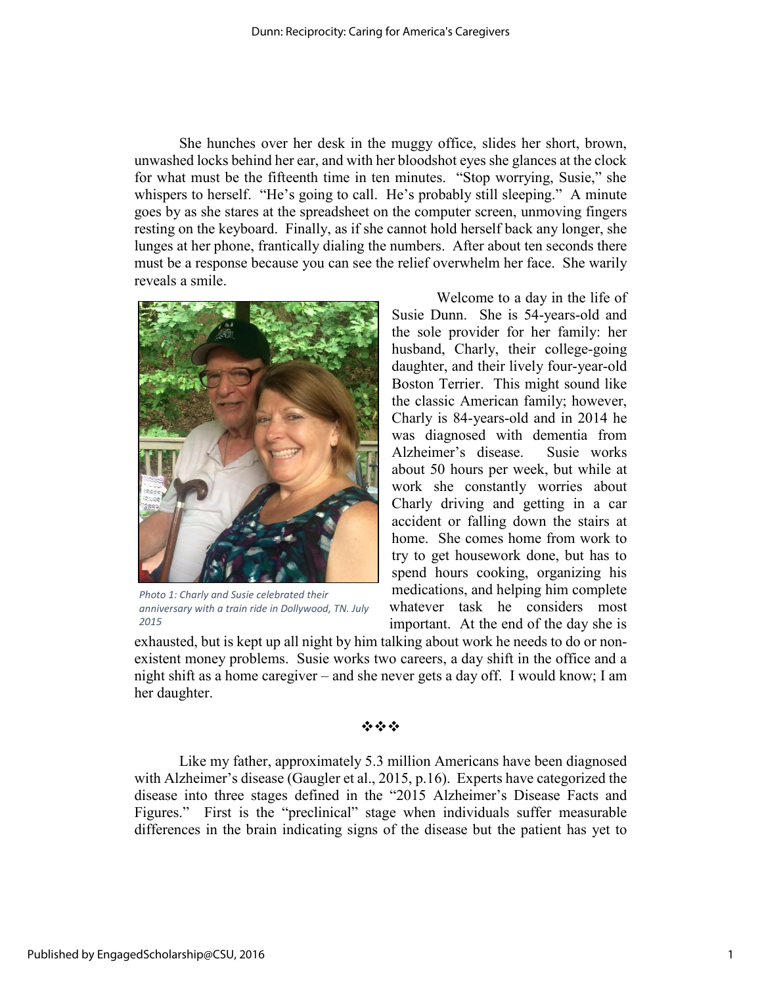She hunches over her desk in the muggy office, slides her short, brown, unwashed locks behind her ear, and with her bloodshot eyes she glances at the clock for what must be the fifteenth time in ten minutes. "Stop worrying, Susie," she whispers to herself. "He's going to call. He's probably still sleeping." A minute goes by as she stares at the spreadsheet on the computer screen, unmoving fingers resting on the keyboard. Finally, as if she cannot hold herself back any longer, she lunges at her phone, frantically dialing the numbers. After about ten seconds there must be a response because you can see the relief overwhelm her face. She warily reveals a smile.



*Photo 1: Charly and Susie celebrated their anniversary with a train ride in Dollywood, TN. July 2015*

Welcome to a day in the life of Susie Dunn. She is 54-years-old and the sole provider for her family: her husband, Charly, their college-going daughter, and their lively four-year-old Boston Terrier. This might sound like the classic American family; however, Charly is 84-years-old and in 2014 he was diagnosed with dementia from Alzheimer's disease. Susie works about 50 hours per week, but while at work she constantly worries about Charly driving and getting in a car accident or falling down the stairs at home. She comes home from work to try to get housework done, but has to spend hours cooking, organizing his medications, and helping him complete whatever task he considers most important. At the end of the day she is

exhausted, but is kept up all night by him talking about work he needs to do or nonexistent money problems. Susie works two careers, a day shift in the office and a night shift as a home caregiver – and she never gets a day off. I would know; I am her daughter.

### 资金率

Like my father, approximately 5.3 million Americans have been diagnosed with Alzheimer's disease (Gaugler et al., 2015, p.16). Experts have categorized the disease into three stages defined in the "2015 Alzheimer's Disease Facts and Figures." First is the "preclinical" stage when individuals suffer measurable differences in the brain indicating signs of the disease but the patient has yet to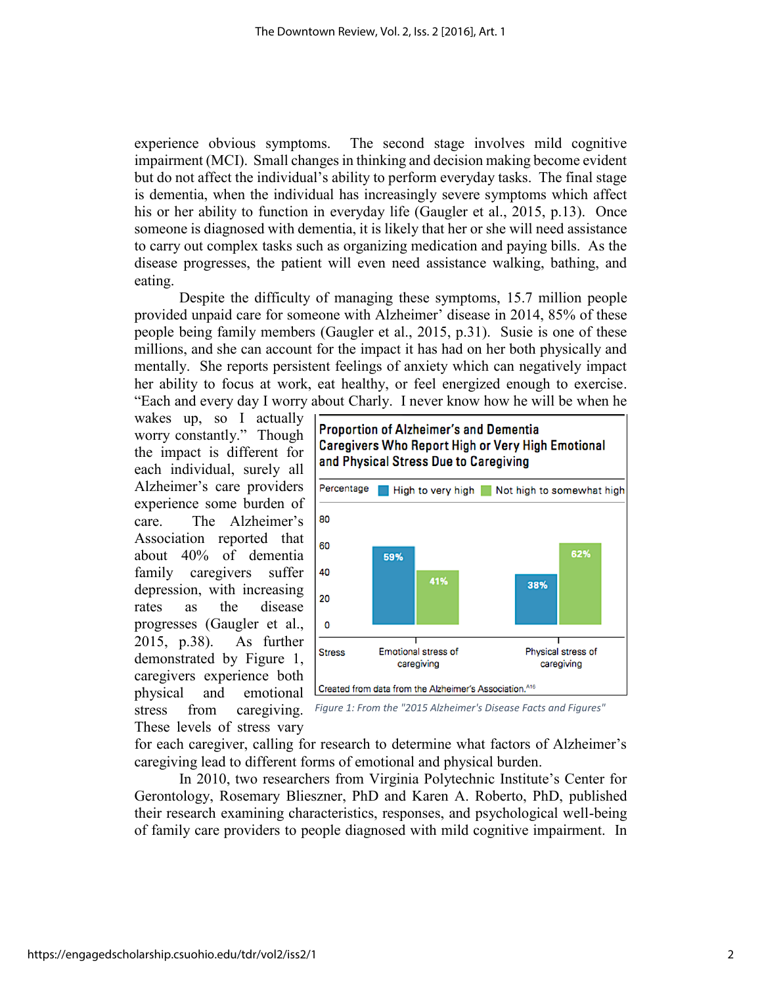experience obvious symptoms. The second stage involves mild cognitive impairment (MCI). Small changes in thinking and decision making become evident but do not affect the individual's ability to perform everyday tasks. The final stage is dementia, when the individual has increasingly severe symptoms which affect his or her ability to function in everyday life (Gaugler et al., 2015, p.13). Once someone is diagnosed with dementia, it is likely that her or she will need assistance to carry out complex tasks such as organizing medication and paying bills. As the disease progresses, the patient will even need assistance walking, bathing, and eating.

Despite the difficulty of managing these symptoms, 15.7 million people provided unpaid care for someone with Alzheimer' disease in 2014, 85% of these people being family members (Gaugler et al., 2015, p.31). Susie is one of these millions, and she can account for the impact it has had on her both physically and mentally. She reports persistent feelings of anxiety which can negatively impact her ability to focus at work, eat healthy, or feel energized enough to exercise. "Each and every day I worry about Charly. I never know how he will be when he

wakes up, so I actually worry constantly." Though the impact is different for each individual, surely all Alzheimer's care providers experience some burden of care. The Alzheimer's Association reported that about 40% of dementia family caregivers suffer depression, with increasing rates as the disease progresses (Gaugler et al., 2015, p.38). As further demonstrated by Figure 1, caregivers experience both physical and emotional stress from caregiving. These levels of stress vary







for each caregiver, calling for research to determine what factors of Alzheimer's caregiving lead to different forms of emotional and physical burden.

In 2010, two researchers from Virginia Polytechnic Institute's Center for Gerontology, Rosemary Blieszner, PhD and Karen A. Roberto, PhD, published their research examining characteristics, responses, and psychological well-being of family care providers to people diagnosed with mild cognitive impairment. In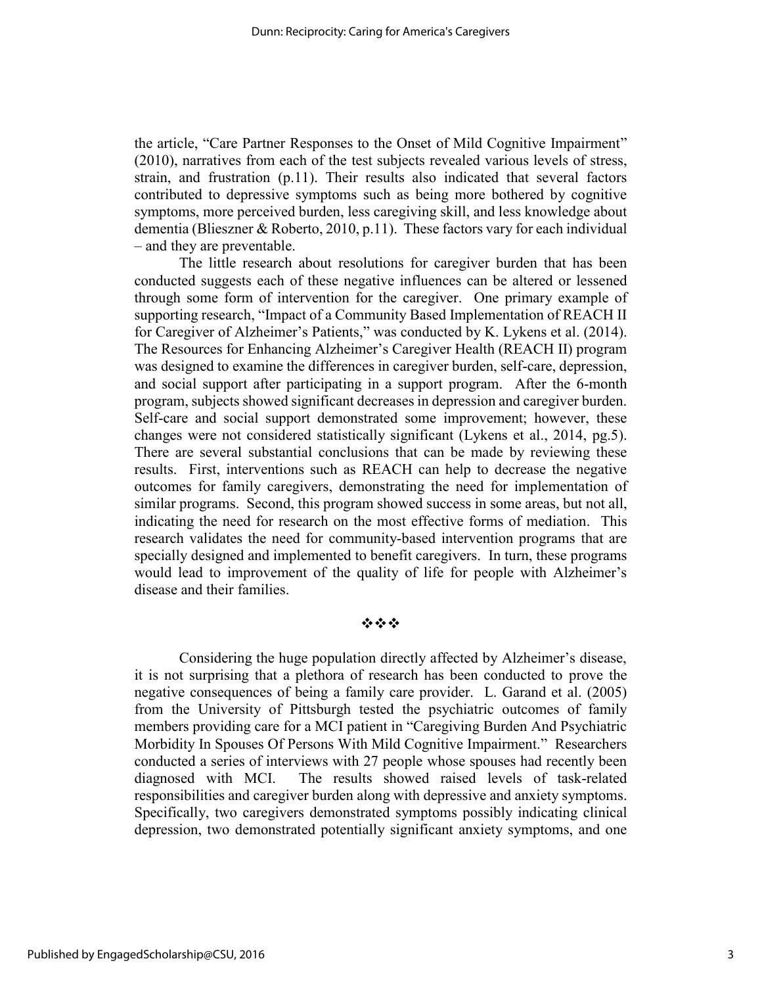the article, "Care Partner Responses to the Onset of Mild Cognitive Impairment" (2010), narratives from each of the test subjects revealed various levels of stress, strain, and frustration (p.11). Their results also indicated that several factors contributed to depressive symptoms such as being more bothered by cognitive symptoms, more perceived burden, less caregiving skill, and less knowledge about dementia (Blieszner & Roberto, 2010, p.11). These factors vary for each individual – and they are preventable.

The little research about resolutions for caregiver burden that has been conducted suggests each of these negative influences can be altered or lessened through some form of intervention for the caregiver. One primary example of supporting research, "Impact of a Community Based Implementation of REACH II for Caregiver of Alzheimer's Patients," was conducted by K. Lykens et al. (2014). The Resources for Enhancing Alzheimer's Caregiver Health (REACH II) program was designed to examine the differences in caregiver burden, self-care, depression, and social support after participating in a support program. After the 6-month program, subjects showed significant decreases in depression and caregiver burden. Self-care and social support demonstrated some improvement; however, these changes were not considered statistically significant (Lykens et al., 2014, pg.5). There are several substantial conclusions that can be made by reviewing these results. First, interventions such as REACH can help to decrease the negative outcomes for family caregivers, demonstrating the need for implementation of similar programs. Second, this program showed success in some areas, but not all, indicating the need for research on the most effective forms of mediation. This research validates the need for community-based intervention programs that are specially designed and implemented to benefit caregivers. In turn, these programs would lead to improvement of the quality of life for people with Alzheimer's disease and their families.

## 资金率

Considering the huge population directly affected by Alzheimer's disease, it is not surprising that a plethora of research has been conducted to prove the negative consequences of being a family care provider. L. Garand et al. (2005) from the University of Pittsburgh tested the psychiatric outcomes of family members providing care for a MCI patient in "Caregiving Burden And Psychiatric Morbidity In Spouses Of Persons With Mild Cognitive Impairment." Researchers conducted a series of interviews with 27 people whose spouses had recently been diagnosed with MCI. The results showed raised levels of task-related responsibilities and caregiver burden along with depressive and anxiety symptoms. Specifically, two caregivers demonstrated symptoms possibly indicating clinical depression, two demonstrated potentially significant anxiety symptoms, and one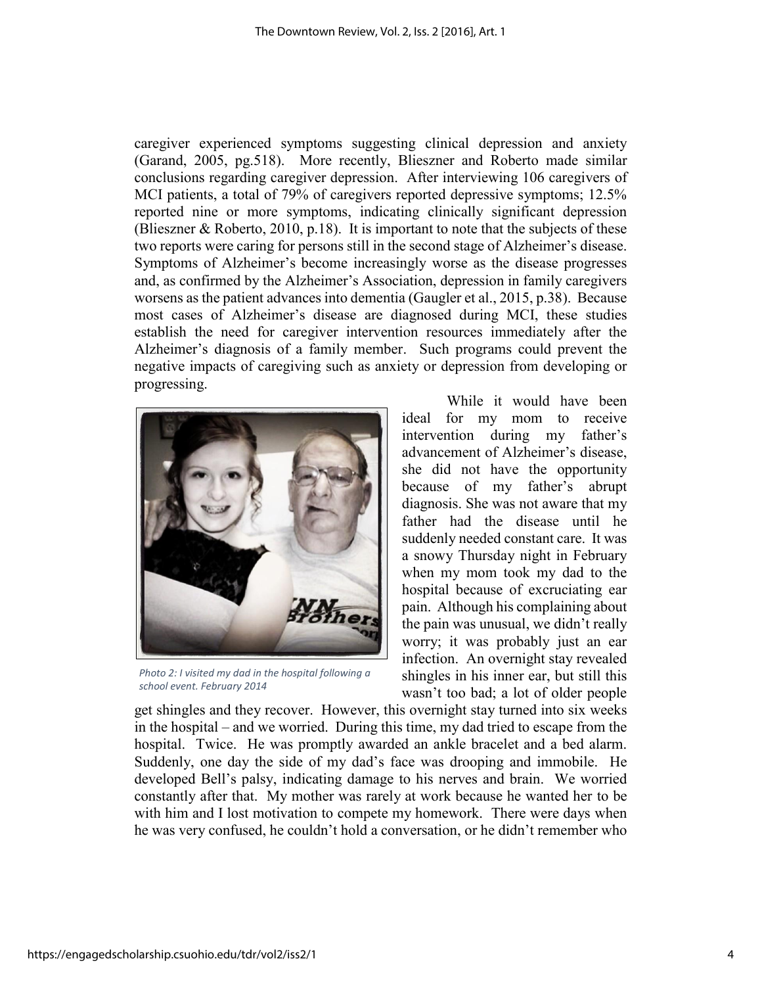caregiver experienced symptoms suggesting clinical depression and anxiety (Garand, 2005, pg.518). More recently, Blieszner and Roberto made similar conclusions regarding caregiver depression. After interviewing 106 caregivers of MCI patients, a total of 79% of caregivers reported depressive symptoms; 12.5% reported nine or more symptoms, indicating clinically significant depression (Blieszner & Roberto, 2010, p.18). It is important to note that the subjects of these two reports were caring for persons still in the second stage of Alzheimer's disease. Symptoms of Alzheimer's become increasingly worse as the disease progresses and, as confirmed by the Alzheimer's Association, depression in family caregivers worsens as the patient advances into dementia (Gaugler et al., 2015, p.38). Because most cases of Alzheimer's disease are diagnosed during MCI, these studies establish the need for caregiver intervention resources immediately after the Alzheimer's diagnosis of a family member. Such programs could prevent the negative impacts of caregiving such as anxiety or depression from developing or progressing.



*Photo 2: I visited my dad in the hospital following a school event. February 2014*

While it would have been ideal for my mom to receive intervention during my father's advancement of Alzheimer's disease, she did not have the opportunity because of my father's abrupt diagnosis. She was not aware that my father had the disease until he suddenly needed constant care. It was a snowy Thursday night in February when my mom took my dad to the hospital because of excruciating ear pain. Although his complaining about the pain was unusual, we didn't really worry; it was probably just an ear infection. An overnight stay revealed shingles in his inner ear, but still this wasn't too bad; a lot of older people

get shingles and they recover. However, this overnight stay turned into six weeks in the hospital – and we worried. During this time, my dad tried to escape from the hospital. Twice. He was promptly awarded an ankle bracelet and a bed alarm. Suddenly, one day the side of my dad's face was drooping and immobile. He developed Bell's palsy, indicating damage to his nerves and brain. We worried constantly after that. My mother was rarely at work because he wanted her to be with him and I lost motivation to compete my homework. There were days when he was very confused, he couldn't hold a conversation, or he didn't remember who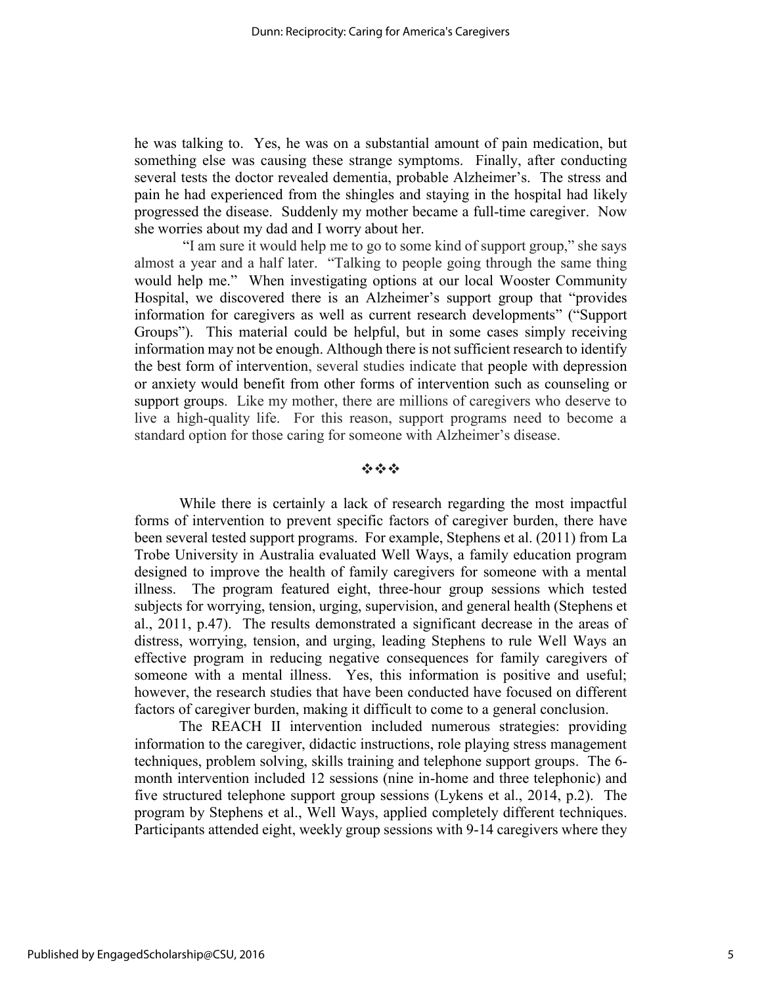he was talking to. Yes, he was on a substantial amount of pain medication, but something else was causing these strange symptoms. Finally, after conducting several tests the doctor revealed dementia, probable Alzheimer's. The stress and pain he had experienced from the shingles and staying in the hospital had likely progressed the disease. Suddenly my mother became a full-time caregiver. Now she worries about my dad and I worry about her.

"I am sure it would help me to go to some kind of support group," she says almost a year and a half later. "Talking to people going through the same thing would help me." When investigating options at our local Wooster Community Hospital, we discovered there is an Alzheimer's support group that "provides information for caregivers as well as current research developments" ("Support Groups"). This material could be helpful, but in some cases simply receiving information may not be enough. Although there is not sufficient research to identify the best form of intervention, several studies indicate that people with depression or anxiety would benefit from other forms of intervention such as counseling or support groups. Like my mother, there are millions of caregivers who deserve to live a high-quality life. For this reason, support programs need to become a standard option for those caring for someone with Alzheimer's disease.

### $\mathcal{L}_\text{R}$  ,  $\mathcal{L}_\text{R}$  ,  $\mathcal{L}_\text{R}$

While there is certainly a lack of research regarding the most impactful forms of intervention to prevent specific factors of caregiver burden, there have been several tested support programs. For example, Stephens et al. (2011) from La Trobe University in Australia evaluated Well Ways, a family education program designed to improve the health of family caregivers for someone with a mental illness. The program featured eight, three-hour group sessions which tested subjects for worrying, tension, urging, supervision, and general health (Stephens et al., 2011, p.47). The results demonstrated a significant decrease in the areas of distress, worrying, tension, and urging, leading Stephens to rule Well Ways an effective program in reducing negative consequences for family caregivers of someone with a mental illness. Yes, this information is positive and useful; however, the research studies that have been conducted have focused on different factors of caregiver burden, making it difficult to come to a general conclusion.

The REACH II intervention included numerous strategies: providing information to the caregiver, didactic instructions, role playing stress management techniques, problem solving, skills training and telephone support groups. The 6 month intervention included 12 sessions (nine in-home and three telephonic) and five structured telephone support group sessions (Lykens et al., 2014, p.2). The program by Stephens et al., Well Ways, applied completely different techniques. Participants attended eight, weekly group sessions with 9-14 caregivers where they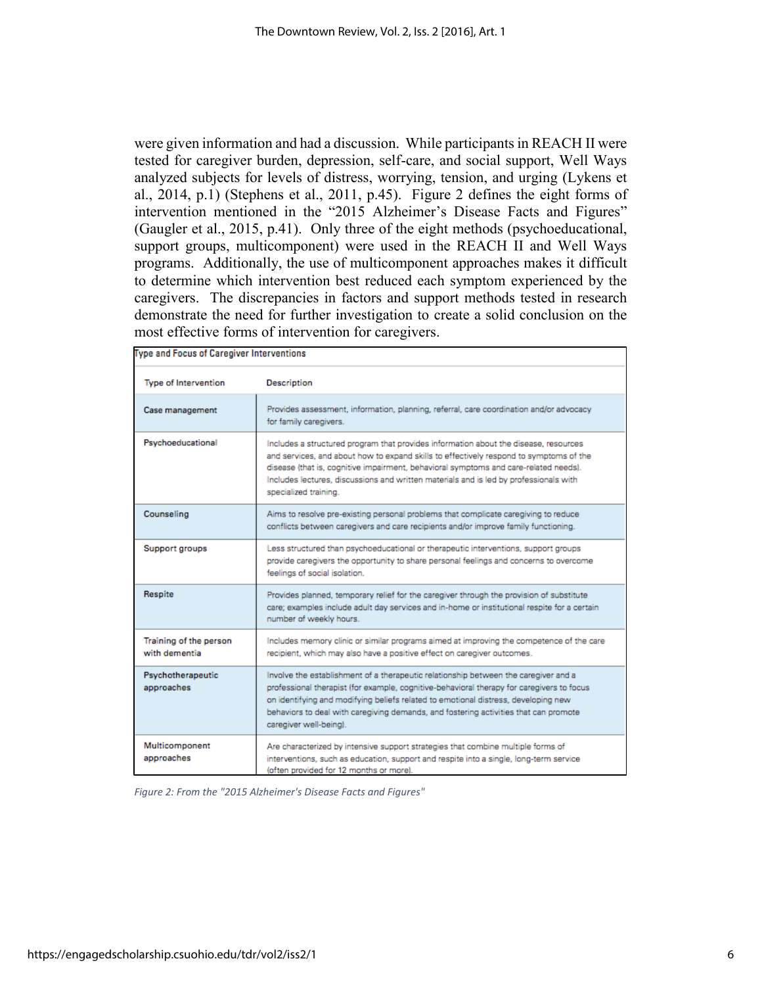were given information and had a discussion. While participants in REACH II were tested for caregiver burden, depression, self-care, and social support, Well Ways analyzed subjects for levels of distress, worrying, tension, and urging (Lykens et al., 2014, p.1) (Stephens et al., 2011, p.45). Figure 2 defines the eight forms of intervention mentioned in the "2015 Alzheimer's Disease Facts and Figures" (Gaugler et al., 2015, p.41). Only three of the eight methods (psychoeducational, support groups, multicomponent) were used in the REACH II and Well Ways programs. Additionally, the use of multicomponent approaches makes it difficult to determine which intervention best reduced each symptom experienced by the caregivers. The discrepancies in factors and support methods tested in research demonstrate the need for further investigation to create a solid conclusion on the most effective forms of intervention for caregivers.

| <b>Type and Focus of Caregiver Interventions</b> |                                                                                                                                                                                                                                                                                                                                                                                          |
|--------------------------------------------------|------------------------------------------------------------------------------------------------------------------------------------------------------------------------------------------------------------------------------------------------------------------------------------------------------------------------------------------------------------------------------------------|
| <b>Type of Intervention</b>                      | <b>Description</b>                                                                                                                                                                                                                                                                                                                                                                       |
| Case management                                  | Provides assessment, information, planning, referral, care coordination and/or advocacy<br>for family caregivers.                                                                                                                                                                                                                                                                        |
| Psychoeducational                                | Includes a structured program that provides information about the disease, resources<br>and services, and about how to expand skills to effectively respond to symptoms of the<br>disease (that is, cognitive impairment, behavioral symptoms and care-related needs).<br>Includes lectures, discussions and written materials and is led by professionals with<br>specialized training. |
| Counseling                                       | Aims to resolve pre-existing personal problems that complicate caregiving to reduce<br>conflicts between caregivers and care recipients and/or improve family functioning.                                                                                                                                                                                                               |
| Support groups                                   | Less structured than psychoeducational or therapeutic interventions, support groups<br>provide caregivers the opportunity to share personal feelings and concerns to overcome<br>feelings of social isolation.                                                                                                                                                                           |
| Respite                                          | Provides planned, temporary relief for the caregiver through the provision of substitute<br>care; examples include adult day services and in-home or institutional respite for a certain<br>number of weekly hours.                                                                                                                                                                      |
| Training of the person<br>with dementia          | Includes memory clinic or similar programs aimed at improving the competence of the care<br>recipient, which may also have a positive effect on caregiver outcomes.                                                                                                                                                                                                                      |
| Psychotherapeutic<br>approaches                  | Involve the establishment of a therapeutic relationship between the caregiver and a<br>professional therapist (for example, cognitive-behavioral therapy for caregivers to focus<br>on identifying and modifying beliefs related to emotional distress, developing new<br>behaviors to deal with caregiving demands, and fostering activities that can promote<br>caregiver well-being). |
| Multicomponent<br>approaches                     | Are characterized by intensive support strategies that combine multiple forms of<br>interventions, such as education, support and respite into a single, long-term service<br>(often provided for 12 months or more).                                                                                                                                                                    |

*Figure 2: From the "2015 Alzheimer's Disease Facts and Figures"*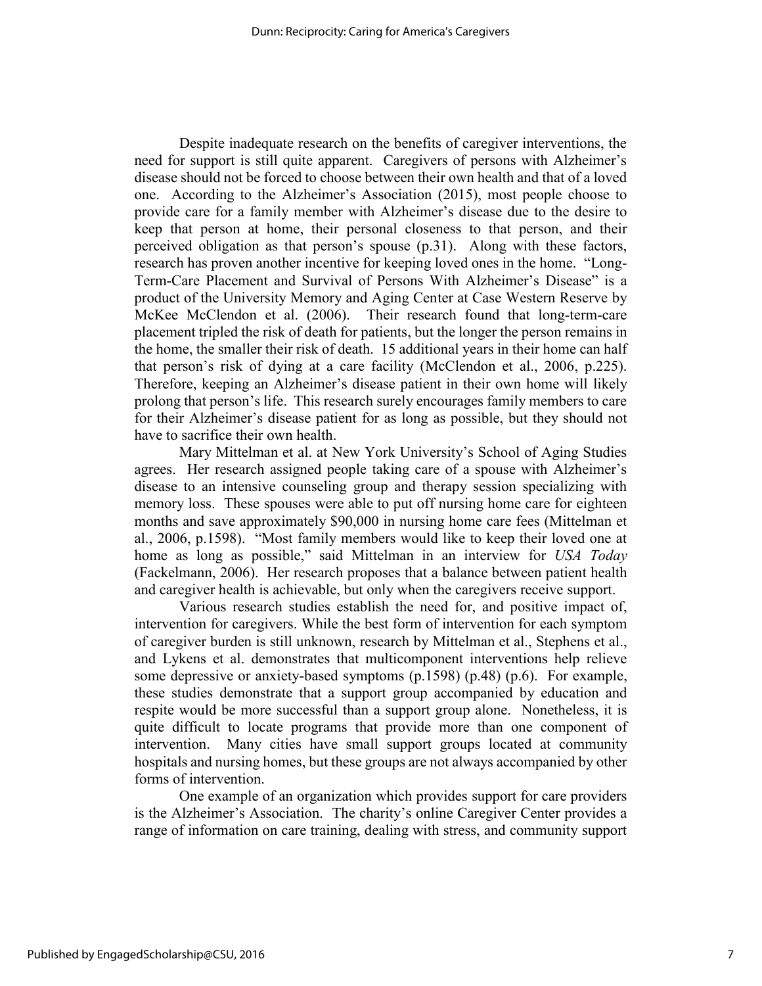Despite inadequate research on the benefits of caregiver interventions, the need for support is still quite apparent. Caregivers of persons with Alzheimer's disease should not be forced to choose between their own health and that of a loved one. According to the Alzheimer's Association (2015), most people choose to provide care for a family member with Alzheimer's disease due to the desire to keep that person at home, their personal closeness to that person, and their perceived obligation as that person's spouse (p.31). Along with these factors, research has proven another incentive for keeping loved ones in the home. "Long-Term-Care Placement and Survival of Persons With Alzheimer's Disease" is a product of the University Memory and Aging Center at Case Western Reserve by McKee McClendon et al. (2006). Their research found that long-term-care placement tripled the risk of death for patients, but the longer the person remains in the home, the smaller their risk of death. 15 additional years in their home can half that person's risk of dying at a care facility (McClendon et al., 2006, p.225). Therefore, keeping an Alzheimer's disease patient in their own home will likely prolong that person's life. This research surely encourages family members to care for their Alzheimer's disease patient for as long as possible, but they should not have to sacrifice their own health.

Mary Mittelman et al. at New York University's School of Aging Studies agrees. Her research assigned people taking care of a spouse with Alzheimer's disease to an intensive counseling group and therapy session specializing with memory loss. These spouses were able to put off nursing home care for eighteen months and save approximately \$90,000 in nursing home care fees (Mittelman et al., 2006, p.1598). "Most family members would like to keep their loved one at home as long as possible," said Mittelman in an interview for *USA Today* (Fackelmann, 2006). Her research proposes that a balance between patient health and caregiver health is achievable, but only when the caregivers receive support.

Various research studies establish the need for, and positive impact of, intervention for caregivers. While the best form of intervention for each symptom of caregiver burden is still unknown, research by Mittelman et al., Stephens et al., and Lykens et al. demonstrates that multicomponent interventions help relieve some depressive or anxiety-based symptoms (p.1598) (p.48) (p.6). For example, these studies demonstrate that a support group accompanied by education and respite would be more successful than a support group alone. Nonetheless, it is quite difficult to locate programs that provide more than one component of intervention. Many cities have small support groups located at community hospitals and nursing homes, but these groups are not always accompanied by other forms of intervention.

One example of an organization which provides support for care providers is the Alzheimer's Association. The charity's online Caregiver Center provides a range of information on care training, dealing with stress, and community support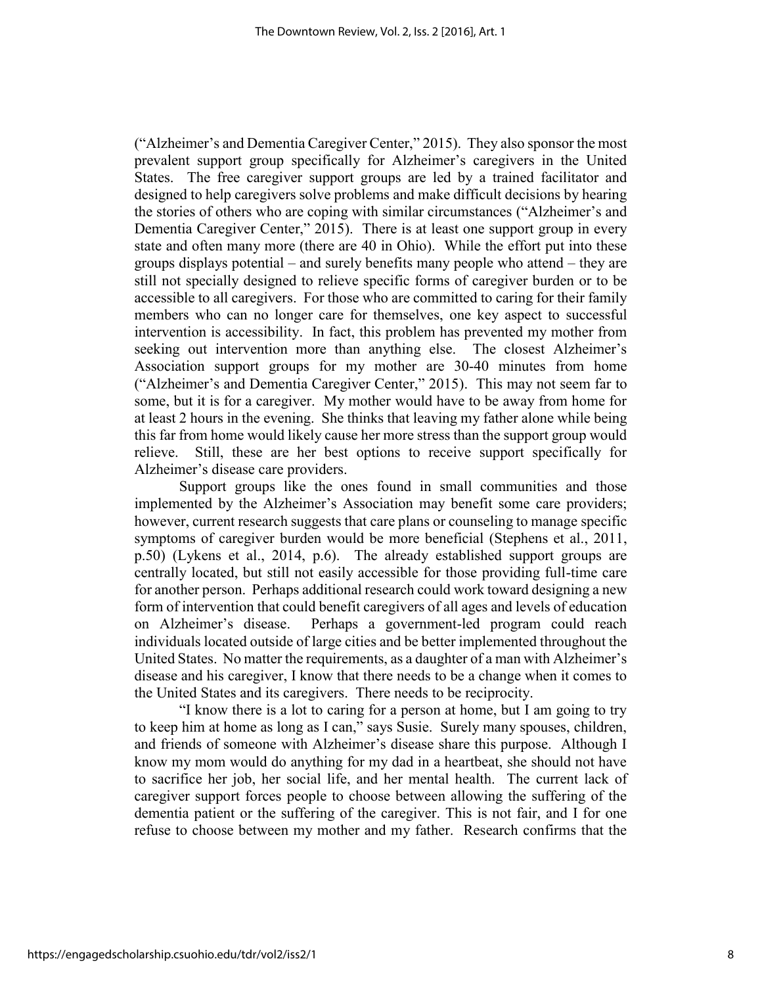("Alzheimer's and Dementia Caregiver Center," 2015). They also sponsor the most prevalent support group specifically for Alzheimer's caregivers in the United States. The free caregiver support groups are led by a trained facilitator and designed to help caregivers solve problems and make difficult decisions by hearing the stories of others who are coping with similar circumstances ("Alzheimer's and Dementia Caregiver Center," 2015). There is at least one support group in every state and often many more (there are 40 in Ohio). While the effort put into these groups displays potential – and surely benefits many people who attend – they are still not specially designed to relieve specific forms of caregiver burden or to be accessible to all caregivers. For those who are committed to caring for their family members who can no longer care for themselves, one key aspect to successful intervention is accessibility. In fact, this problem has prevented my mother from seeking out intervention more than anything else. The closest Alzheimer's Association support groups for my mother are 30-40 minutes from home ("Alzheimer's and Dementia Caregiver Center," 2015). This may not seem far to some, but it is for a caregiver. My mother would have to be away from home for at least 2 hours in the evening. She thinks that leaving my father alone while being this far from home would likely cause her more stress than the support group would relieve. Still, these are her best options to receive support specifically for Alzheimer's disease care providers.

Support groups like the ones found in small communities and those implemented by the Alzheimer's Association may benefit some care providers; however, current research suggests that care plans or counseling to manage specific symptoms of caregiver burden would be more beneficial (Stephens et al., 2011, p.50) (Lykens et al., 2014, p.6). The already established support groups are centrally located, but still not easily accessible for those providing full-time care for another person. Perhaps additional research could work toward designing a new form of intervention that could benefit caregivers of all ages and levels of education on Alzheimer's disease. Perhaps a government-led program could reach individuals located outside of large cities and be better implemented throughout the United States. No matter the requirements, as a daughter of a man with Alzheimer's disease and his caregiver, I know that there needs to be a change when it comes to the United States and its caregivers. There needs to be reciprocity.

"I know there is a lot to caring for a person at home, but I am going to try to keep him at home as long as I can," says Susie. Surely many spouses, children, and friends of someone with Alzheimer's disease share this purpose. Although I know my mom would do anything for my dad in a heartbeat, she should not have to sacrifice her job, her social life, and her mental health. The current lack of caregiver support forces people to choose between allowing the suffering of the dementia patient or the suffering of the caregiver. This is not fair, and I for one refuse to choose between my mother and my father. Research confirms that the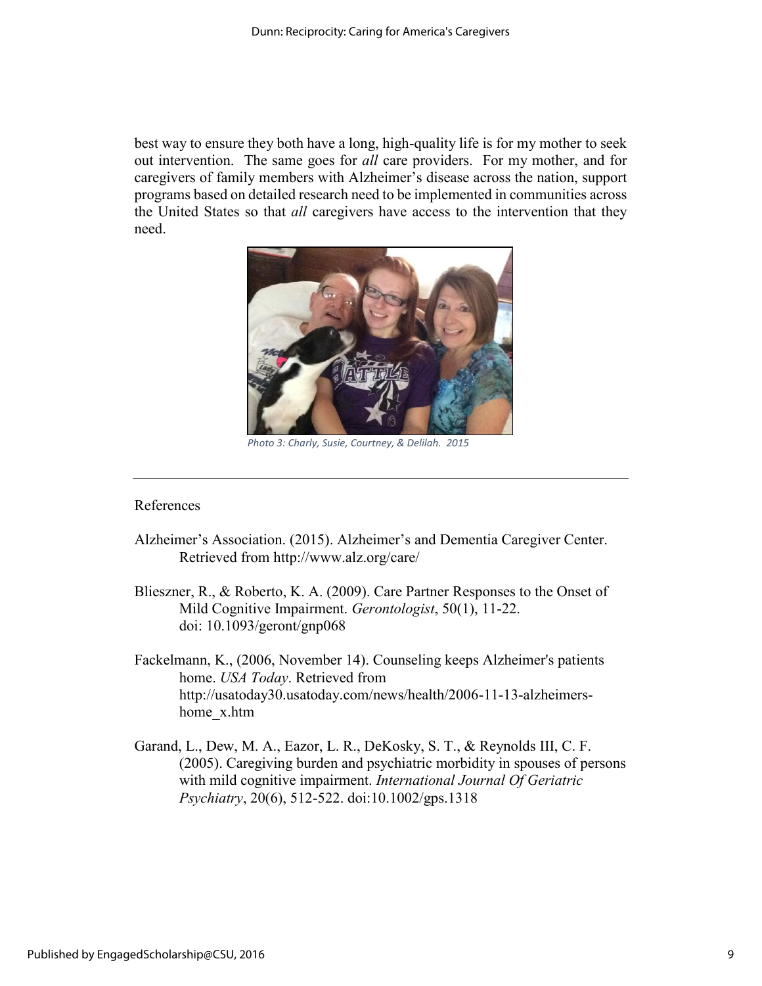best way to ensure they both have a long, high-quality life is for my mother to seek out intervention. The same goes for *all* care providers. For my mother, and for caregivers of family members with Alzheimer's disease across the nation, support programs based on detailed research need to be implemented in communities across the United States so that *all* caregivers have access to the intervention that they need.



*Photo 3: Charly, Susie, Courtney, & Delilah. 2015*

### References

- Alzheimer's Association. (2015). Alzheimer's and Dementia Caregiver Center. Retrieved from http://www.alz.org/care/
- Blieszner, R., & Roberto, K. A. (2009). Care Partner Responses to the Onset of Mild Cognitive Impairment. *Gerontologist*, 50(1), 11-22. doi: 10.1093/geront/gnp068
- Fackelmann, K., (2006, November 14). Counseling keeps Alzheimer's patients home. *USA Today*. Retrieved from http://usatoday30.usatoday.com/news/health/2006-11-13-alzheimershome\_x.htm
- Garand, L., Dew, M. A., Eazor, L. R., DeKosky, S. T., & Reynolds III, C. F. (2005). Caregiving burden and psychiatric morbidity in spouses of persons with mild cognitive impairment. *International Journal Of Geriatric Psychiatry*, 20(6), 512-522. doi:10.1002/gps.1318